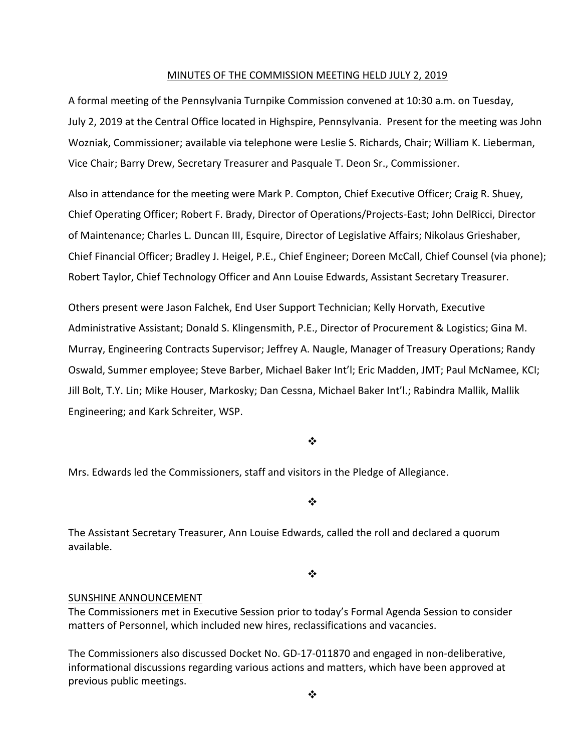#### MINUTES OF THE COMMISSION MEETING HELD JULY 2, 2019

A formal meeting of the Pennsylvania Turnpike Commission convened at 10:30 a.m. on Tuesday, July 2, 2019 at the Central Office located in Highspire, Pennsylvania. Present for the meeting was John Wozniak, Commissioner; available via telephone were Leslie S. Richards, Chair; William K. Lieberman, Vice Chair; Barry Drew, Secretary Treasurer and Pasquale T. Deon Sr., Commissioner.

Also in attendance for the meeting were Mark P. Compton, Chief Executive Officer; Craig R. Shuey, Chief Operating Officer; Robert F. Brady, Director of Operations/Projects‐East; John DelRicci, Director of Maintenance; Charles L. Duncan III, Esquire, Director of Legislative Affairs; Nikolaus Grieshaber, Chief Financial Officer; Bradley J. Heigel, P.E., Chief Engineer; Doreen McCall, Chief Counsel (via phone); Robert Taylor, Chief Technology Officer and Ann Louise Edwards, Assistant Secretary Treasurer.

Others present were Jason Falchek, End User Support Technician; Kelly Horvath, Executive Administrative Assistant; Donald S. Klingensmith, P.E., Director of Procurement & Logistics; Gina M. Murray, Engineering Contracts Supervisor; Jeffrey A. Naugle, Manager of Treasury Operations; Randy Oswald, Summer employee; Steve Barber, Michael Baker Int'l; Eric Madden, JMT; Paul McNamee, KCI; Jill Bolt, T.Y. Lin; Mike Houser, Markosky; Dan Cessna, Michael Baker Int'l.; Rabindra Mallik, Mallik Engineering; and Kark Schreiter, WSP.

#### ❖

Mrs. Edwards led the Commissioners, staff and visitors in the Pledge of Allegiance.

❖

The Assistant Secretary Treasurer, Ann Louise Edwards, called the roll and declared a quorum available.

 $\bullet^{\bullet}_{\bullet} \bullet$ 

## SUNSHINE ANNOUNCEMENT

The Commissioners met in Executive Session prior to today's Formal Agenda Session to consider matters of Personnel, which included new hires, reclassifications and vacancies.

The Commissioners also discussed Docket No. GD‐17‐011870 and engaged in non‐deliberative, informational discussions regarding various actions and matters, which have been approved at previous public meetings.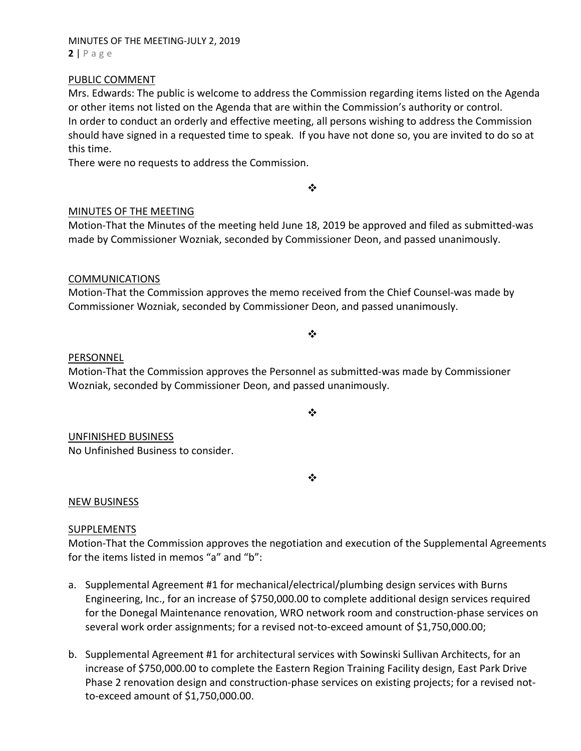## MINUTES OF THE MEETING‐JULY 2, 2019 **2** | Page

## PUBLIC COMMENT

Mrs. Edwards: The public is welcome to address the Commission regarding items listed on the Agenda or other items not listed on the Agenda that are within the Commission's authority or control. In order to conduct an orderly and effective meeting, all persons wishing to address the Commission should have signed in a requested time to speak. If you have not done so, you are invited to do so at this time.

There were no requests to address the Commission.

## MINUTES OF THE MEETING

Motion‐That the Minutes of the meeting held June 18, 2019 be approved and filed as submitted‐was made by Commissioner Wozniak, seconded by Commissioner Deon, and passed unanimously.

 $\bullet^{\bullet}_{\bullet} \bullet$ 

## COMMUNICATIONS

Motion‐That the Commission approves the memo received from the Chief Counsel‐was made by Commissioner Wozniak, seconded by Commissioner Deon, and passed unanimously.

#### $\frac{1}{2}$

## PERSONNEL

Motion‐That the Commission approves the Personnel as submitted‐was made by Commissioner Wozniak, seconded by Commissioner Deon, and passed unanimously.

 $\cdot$ 

## UNFINISHED BUSINESS

No Unfinished Business to consider.

❖

## NEW BUSINESS

## SUPPLEMENTS

Motion‐That the Commission approves the negotiation and execution of the Supplemental Agreements for the items listed in memos "a" and "b":

- a. Supplemental Agreement #1 for mechanical/electrical/plumbing design services with Burns Engineering, Inc., for an increase of \$750,000.00 to complete additional design services required for the Donegal Maintenance renovation, WRO network room and construction‐phase services on several work order assignments; for a revised not-to-exceed amount of \$1,750,000.00;
- b. Supplemental Agreement #1 for architectural services with Sowinski Sullivan Architects, for an increase of \$750,000.00 to complete the Eastern Region Training Facility design, East Park Drive Phase 2 renovation design and construction‐phase services on existing projects; for a revised not‐ to‐exceed amount of \$1,750,000.00.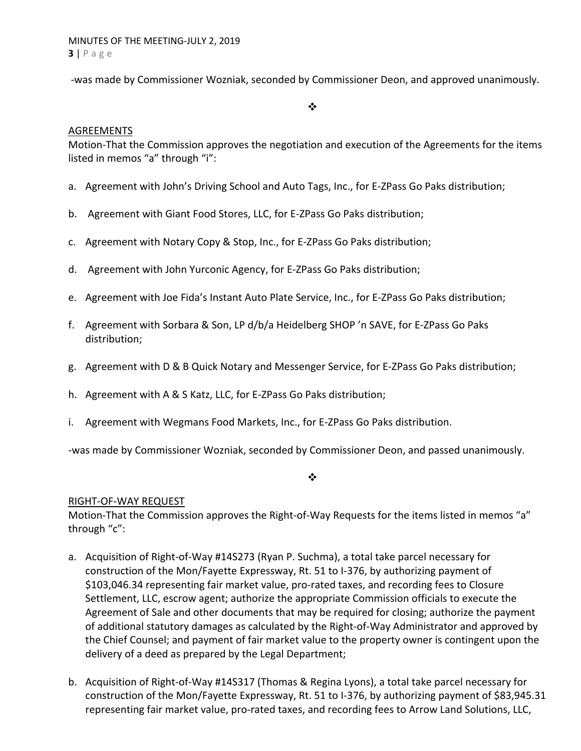‐was made by Commissioner Wozniak, seconded by Commissioner Deon, and approved unanimously.

#### $\cdot$

## AGREEMENTS

Motion‐That the Commission approves the negotiation and execution of the Agreements for the items listed in memos "a" through "i":

- a. Agreement with John's Driving School and Auto Tags, Inc., for E‐ZPass Go Paks distribution;
- b. Agreement with Giant Food Stores, LLC, for E‐ZPass Go Paks distribution;
- c. Agreement with Notary Copy & Stop, Inc., for E‐ZPass Go Paks distribution;
- d. Agreement with John Yurconic Agency, for E‐ZPass Go Paks distribution;
- e. Agreement with Joe Fida's Instant Auto Plate Service, Inc., for E‐ZPass Go Paks distribution;
- f. Agreement with Sorbara & Son, LP d/b/a Heidelberg SHOP 'n SAVE, for E‐ZPass Go Paks distribution;
- g. Agreement with D & B Quick Notary and Messenger Service, for E‐ZPass Go Paks distribution;
- h. Agreement with A & S Katz, LLC, for E‐ZPass Go Paks distribution;
- i. Agreement with Wegmans Food Markets, Inc., for E‐ZPass Go Paks distribution.

‐was made by Commissioner Wozniak, seconded by Commissioner Deon, and passed unanimously.

#### $\bullet^{\bullet}_{\bullet} \bullet$

## RIGHT‐OF‐WAY REQUEST

Motion-That the Commission approves the Right-of-Way Requests for the items listed in memos "a" through "c":

- a. Acquisition of Right‐of‐Way #14S273 (Ryan P. Suchma), a total take parcel necessary for construction of the Mon/Fayette Expressway, Rt. 51 to I‐376, by authorizing payment of \$103,046.34 representing fair market value, pro‐rated taxes, and recording fees to Closure Settlement, LLC, escrow agent; authorize the appropriate Commission officials to execute the Agreement of Sale and other documents that may be required for closing; authorize the payment of additional statutory damages as calculated by the Right‐of‐Way Administrator and approved by the Chief Counsel; and payment of fair market value to the property owner is contingent upon the delivery of a deed as prepared by the Legal Department;
- b. Acquisition of Right‐of‐Way #14S317 (Thomas & Regina Lyons), a total take parcel necessary for construction of the Mon/Fayette Expressway, Rt. 51 to I‐376, by authorizing payment of \$83,945.31 representing fair market value, pro‐rated taxes, and recording fees to Arrow Land Solutions, LLC,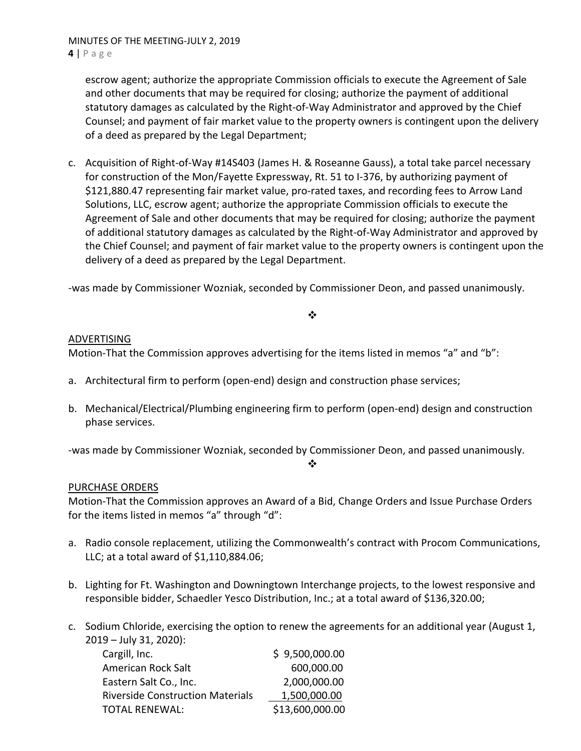escrow agent; authorize the appropriate Commission officials to execute the Agreement of Sale and other documents that may be required for closing; authorize the payment of additional statutory damages as calculated by the Right‐of‐Way Administrator and approved by the Chief Counsel; and payment of fair market value to the property owners is contingent upon the delivery of a deed as prepared by the Legal Department;

c. Acquisition of Right‐of‐Way #14S403 (James H. & Roseanne Gauss), a total take parcel necessary for construction of the Mon/Fayette Expressway, Rt. 51 to I‐376, by authorizing payment of \$121,880.47 representing fair market value, pro‐rated taxes, and recording fees to Arrow Land Solutions, LLC, escrow agent; authorize the appropriate Commission officials to execute the Agreement of Sale and other documents that may be required for closing; authorize the payment of additional statutory damages as calculated by the Right‐of‐Way Administrator and approved by the Chief Counsel; and payment of fair market value to the property owners is contingent upon the delivery of a deed as prepared by the Legal Department.

‐was made by Commissioner Wozniak, seconded by Commissioner Deon, and passed unanimously.

## $\frac{1}{2}$

## ADVERTISING

Motion-That the Commission approves advertising for the items listed in memos "a" and "b":

- a. Architectural firm to perform (open‐end) design and construction phase services;
- b. Mechanical/Electrical/Plumbing engineering firm to perform (open‐end) design and construction phase services.

‐was made by Commissioner Wozniak, seconded by Commissioner Deon, and passed unanimously.

#### ❖

# PURCHASE ORDERS

Motion‐That the Commission approves an Award of a Bid, Change Orders and Issue Purchase Orders for the items listed in memos "a" through "d":

- a. Radio console replacement, utilizing the Commonwealth's contract with Procom Communications, LLC; at a total award of \$1,110,884.06;
- b. Lighting for Ft. Washington and Downingtown Interchange projects, to the lowest responsive and responsible bidder, Schaedler Yesco Distribution, Inc.; at a total award of \$136,320.00;
- c. Sodium Chloride, exercising the option to renew the agreements for an additional year (August 1, 2019 – July 31, 2020):

| Cargill, Inc.                           | \$9,500,000.00  |
|-----------------------------------------|-----------------|
| American Rock Salt                      | 600,000.00      |
| Eastern Salt Co., Inc.                  | 2,000,000.00    |
| <b>Riverside Construction Materials</b> | 1,500,000.00    |
| <b>TOTAL RENEWAL:</b>                   | \$13,600,000.00 |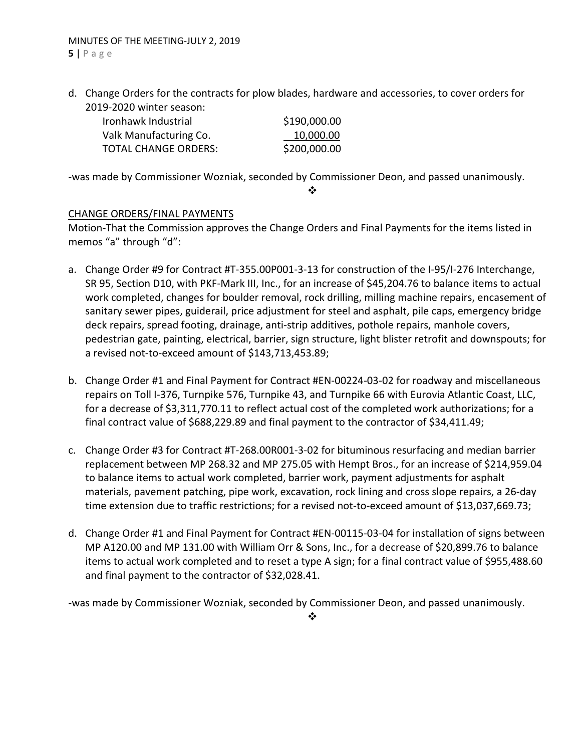d. Change Orders for the contracts for plow blades, hardware and accessories, to cover orders for 2019‐2020 winter season:

| Ironhawk Industrial         | \$190,000.00 |
|-----------------------------|--------------|
| Valk Manufacturing Co.      | 10,000.00    |
| <b>TOTAL CHANGE ORDERS:</b> | \$200,000.00 |

‐was made by Commissioner Wozniak, seconded by Commissioner Deon, and passed unanimously.

❖

# CHANGE ORDERS/FINAL PAYMENTS

Motion‐That the Commission approves the Change Orders and Final Payments for the items listed in memos "a" through "d":

- a. Change Order #9 for Contract #T‐355.00P001‐3‐13 for construction of the I‐95/I‐276 Interchange, SR 95, Section D10, with PKF‐Mark III, Inc., for an increase of \$45,204.76 to balance items to actual work completed, changes for boulder removal, rock drilling, milling machine repairs, encasement of sanitary sewer pipes, guiderail, price adjustment for steel and asphalt, pile caps, emergency bridge deck repairs, spread footing, drainage, anti‐strip additives, pothole repairs, manhole covers, pedestrian gate, painting, electrical, barrier, sign structure, light blister retrofit and downspouts; for a revised not‐to‐exceed amount of \$143,713,453.89;
- b. Change Order #1 and Final Payment for Contract #EN‐00224‐03‐02 for roadway and miscellaneous repairs on Toll I‐376, Turnpike 576, Turnpike 43, and Turnpike 66 with Eurovia Atlantic Coast, LLC, for a decrease of \$3,311,770.11 to reflect actual cost of the completed work authorizations; for a final contract value of \$688,229.89 and final payment to the contractor of \$34,411.49;
- c. Change Order #3 for Contract #T‐268.00R001‐3‐02 for bituminous resurfacing and median barrier replacement between MP 268.32 and MP 275.05 with Hempt Bros., for an increase of \$214,959.04 to balance items to actual work completed, barrier work, payment adjustments for asphalt materials, pavement patching, pipe work, excavation, rock lining and cross slope repairs, a 26‐day time extension due to traffic restrictions; for a revised not-to-exceed amount of \$13,037,669.73;
- d. Change Order #1 and Final Payment for Contract #EN‐00115‐03‐04 for installation of signs between MP A120.00 and MP 131.00 with William Orr & Sons, Inc., for a decrease of \$20,899.76 to balance items to actual work completed and to reset a type A sign; for a final contract value of \$955,488.60 and final payment to the contractor of \$32,028.41.

‐was made by Commissioner Wozniak, seconded by Commissioner Deon, and passed unanimously.